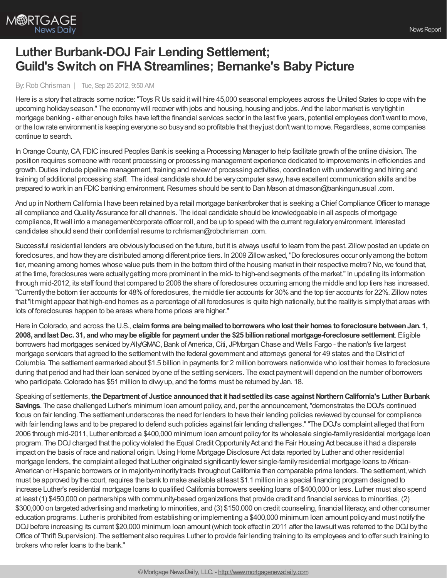

## **Luther Burbank-DOJ Fair Lending Settlement; Guild's Switch on FHA Streamlines; Bernanke's Baby Picture**

## By:Rob Chrisman | Tue, Sep 25 2012, 9:50 AM

Here is a storythat attracts some notice:"Toys RUs said itwill hire 45,000 seasonal employees across the United States to cope with the upcoming holidayseason." The economywill recover with jobs and housing, housing and jobs. And the labor market is verytight in mortgage banking - either enough folks have left the financial services sector in the last five years, potential employees don'twant to move, or the lowrate environment is keeping everyone so busyand so profitable that theyjust don'twant to move.Regardless, some companies continue to search.

In Orange County, CA, FDIC insured Peoples Bank is seeking a Processing Manager to help facilitate growth of the online division. The position requires someone with recent processing or processing management experience dedicated to improvements in efficiencies and growth. Duties include pipeline management, training and review of processing activities, coordination with underwriting and hiring and training of additional processing staff. The ideal candidate should be verycomputer savvy, have excellent communication skills and be prepared to work in an FDIC banking environment. Resumes should be sent to Dan Mason at dmason@bankingunusual .com.

And up in Northern California I have been retained by a retail mortgage banker/broker that is seeking a Chief Compliance Officer to manage all compliance and Quality Assurance for all channels. The ideal candidate should be knowledgeable in all aspects of mortgage compliance, fitwell into a management/corporate officer roll, and be up to speed with the current regulatoryenvironment. Interested candidates should send their confidential resume to rchrisman@robchrisman .com.

Successful residential lenders are obviously focused on the future, but it is always useful to learn from the past. Zillow posted an update on foreclosures, and how they are distributed among different price tiers. In 2009 Zillow asked, "Do foreclosures occur only among the bottom tier, meaning among homes whose value puts them in the bottom third of the housing market in their respective metro? No, we found that, at the time, foreclosures were actually getting more prominent in the mid- to high-end segments of the market." In updating its information through mid-2012, its staff found that compared to 2006 the share of foreclosures occurring among the middle and top tiers has increased. "Currentlythe bottom tier accounts for 48%of foreclosures, the middle tier accounts for 30%and the top tier accounts for 22%. Zillownotes that"it might appear that high-end homes as a percentage of all foreclosures is quite high nationally, but the realityis simplythat areas with lots of foreclosures happen to be areas where home prices are higher."

Here in Colorado, and across the U.S., **claimforms are beingmailedtoborrowerswholost their homes toforeclosure betweenJan. 1, 2008, andlast Dec. 31, andwhomaybe eligible for payment under the \$25 billionnationalmortgage-foreclosure settlement**. Eligible borrowers had mortgages serviced by Ally/GMAC, Bank of America, Citi, JPMorgan Chase and Wells Fargo - the nation's five largest mortgage servicers that agreed to the settlementwith the federal government and attorneys general for 49 states and the District of Columbia. The settlement earmarked about \$1.5 billion in payments for 2 million borrowers nationwide who lost their homes to foreclosure during that period and had their loan serviced by one of the settling servicers. The exact payment will depend on the number of borrowers who participate. Colorado has \$51 million to diwy up, and the forms must be returned by Jan. 18.

Speaking of settlements, **the Department of Justice announcedthat it hadsettledits case against NorthernCalifornia's Luther Burbank Savings**. The case challenged Luther's minimum loan amount policy, and, per the announcement,"demonstrates the DOJ's continued focus on fair lending. The settlement underscores the need for lenders to have their lending policies reviewed bycounsel for compliance with fair lending laws and to be prepared to defend such policies against fair lending challenges.""The DOJ's complaint alleged that from 2006 through mid-2011, Luther enforced a \$400,000 minimum loan amount policyfor its wholesale single-familyresidential mortgage loan program. The DOJ charged that the policy violated the Equal Credit Opportunity Act and the Fair Housing Act because it had a disparate impact on the basis of race and national origin. Using Home Mortgage Disclosure Act data reported by Luther and other residential mortgage lenders, the complaint alleged that Luther originated significantlyfewer single-familyresidential mortgage loans to African-American or Hispanic borrowers or in majority-minority tracts throughout California than comparable prime lenders. The settlement, which must be approved bythe court, requires the bank to make available at least \$1.1 million in a special financing program designed to increase Luther's residential mortgage loans to qualified California borrowers seeking loans of \$400,000 or less. Luther must also spend at least (1) \$450,000 on partnerships with community-based organizations that provide credit and financial services to minorities, (2) \$300,000 on targeted advertising and marketing to minorities, and (3) \$150,000 on credit counseling, financial literacy, and other consumer education programs. Luther is prohibited from establishing or implementing a \$400,000 minimum loan amount policyand must notifythe DOJ before increasing its current \$20,000 minimum loan amount (which took effect in 2011 after the lawsuit was referred to the DOJ by the Office of Thrift Supervision). The settlement also requires Luther to provide fair lending training to its employees and to offer such training to brokers who refer loans to the bank."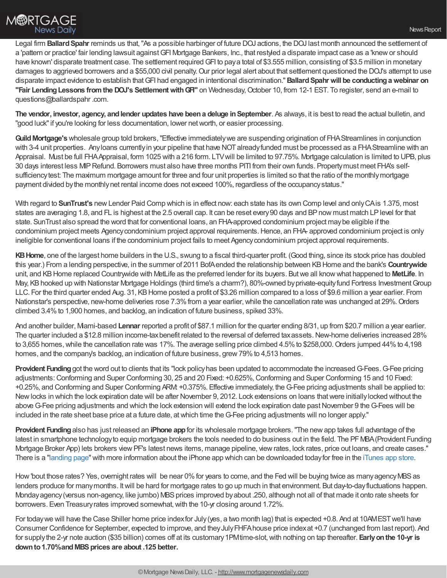Legal firm **Ballard Spahr** reminds us that, "As a possible harbinger of future DOJ actions, the DOJ last month announced the settlement of a 'pattern or practice' fair lending lawsuit against GFI Mortgage Bankers, Inc., that restyled a disparate impact case as a 'knew or should have known' disparate treatment case. The settlement required GFI to pay a total of \$3.555 million, consisting of \$3.5 million in monetary damages to aggrieved borrowers and a \$55,000 civil penalty. Our prior legal alert about that settlement questioned the DOJ's attempt to use disparate impact evidence to establish thatGFI had engaged in intentional discrimination."**BallardSpahr will be conductingawebinar on "Fair LendingLessons fromthe DOJ's SettlementwithGFI"** on Wednesday,October 10, from 12-1 EST. To register, send an e-mail to questions@ballardspahr.com.

**The vendor, investor, agency, andlender updates have beena deluge inSeptember**. As always, it is best to read the actual bulletin, and "good luck"if you're looking for less documentation, lower networth, or easier processing.

Guild Mortgage's wholesale group told brokers, "Effective immediately we are suspending origination of FHA Streamlines in conjunction with 3-4 unit properties. Any loans currently in your pipeline that have NOT already funded must be processed as a FHA Streamline with an Appraisal. Must be full FHAAppraisal, form 1025 with a 216 form. LTVwill be limited to 97.75%. Mortgage calculation is limited to UPB, plus 30 days interest less MIPRefund. Borrowers must also have three months PITI from their own funds. Propertymust meet FHA's selfsufficiency test: The maximum mortgage amount for three and four unit properties is limited so that the ratio of the monthlymortgage payment divided bythe monthlynet rental income does not exceed 100%, regardless of the occupancystatus."

With regard to **SunTrust's** new Lender Paid Comp which is in effect now: each state has its own Comp level and only CA is 1.375, most states are averaging 1.8, and FL is highest at the 2.5 overall cap. It can be reset every 90 days and BP now must match LP level for that state. SunTrust also spread the word that for conventional loans, an FHA-approved condominium project maybe eligible if the condominium project meets Agency condominium project approval requirements. Hence, an FHA- approved condominium project is only ineligible for conventional loans if the condominium project fails to meet Agencycondominium project approval requirements.

**KBHome**, one of the largest home builders in the U.S., swung to a fiscal third-quarter profit. (Good thing, since its stock price has doubled this year.) From a lending perspective, in the summer of 2011 BofAended the relationship between KBHome and the bank's **Countrywide** unit, and KBHome replaced Countrywide with MetLife as the preferred lender for its buyers. Butwe all knowwhat happened to **MetLife**. In May, KBhooked up with Nationstar Mortgage Holdings (third time's a charm?), 80%-owned byprivate-equityfund Fortress InvestmentGroup LLC. For the third quarter ended Aug. 31, KB Home posted a profit of \$3.26 million compared to a loss of \$9.6 million a year earlier. From Nationstar's perspective, new-home deliveries rose 7.3% from a year earlier, while the cancellation rate was unchanged at 29%. Orders climbed 3.4%to 1,900 homes, and backlog, an indication of future business, spiked 33%.

And another builder, Mami-based Lennar reported a profit of \$87.1 million for the quarter ending 8/31, up from \$20.7 million a year earlier. The quarter included a \$12.8 million income-taxbenefit related to the reversal of deferred taxassets.New-home deliveries increased 28% to 3,655 homes, while the cancellation rate was 17%. The average selling price climbed 4.5% to \$258,000. Orders jumped 44% to 4,198 homes, and the company's backlog, an indication of future business, grew 79% to 4,513 homes.

**Provident Funding** got the word out to clients that its "lock policy has been updated to accommodate the increased G-Fees. G-Fee pricing adjustments: Conforming and Super Conforming 30, 25 and 20 Fixed: +0.625%, Conforming and Super Conforming 15 and 10 Fixed: +0.25%, and Conforming and Super Conforming ARM: +0.375%. Effective immediately, theG-Fee pricing adjustments shall be applied to: Newlocks in which the lock expiration date will be after November 9, 2012. Lock extensions on loans thatwere initiallylocked without the above G-Fee pricing adjustments and which the lock extension will extend the lock expiration date past November 9 the G-Fees will be included in the rate sheet base price at a future date, at which time the G-Fee pricing adjustments will no longer apply."

**Provident Funding**also has just released an **iPhone app**for its wholesale mortgage brokers."The newapp takes full advantage of the latest in smartphone technology to equip mortgage brokers the tools needed to do business out in the field. The PF MBA (Provident Funding Mortgage Broker App) lets brokers viewPF's latest news items, manage pipeline, viewrates, lock rates, price out loans, and create cases." There is a ["landing](https://pfloans.provident.com/mobile/landing_page/default.html) page"with more information about the iPhone app which can be downloaded todayfor free in the [iTunes](http://itunes.apple.com/us/app/provident-funding-mortgage/id554192301?ls=1&mt=8) app store.

How 'bout those rates? Yes, overnight rates will be near 0% for years to come, and the Fed will be buying twice as many agency MBS as lenders produce for manymonths. Itwill be hard for mortgage rates to go up much in that environment. But day-to-dayfluctuations happen. Monday agency (versus non-agency, like jumbo) MBS prices improved by about .250, although not all of that made it onto rate sheets for borrowers. Even Treasury rates improved somewhat, with the 10-yr closing around 1.72%.

For today we will have the Case Shiller home price index for July (yes, a two month lag) that is expected +0.8. And at 10AMEST we'll have Consumer Confidence for September, expected to improve, and theyJulyFHFAhouse price indexat +0.7 (unchanged from last report). And for supplythe 2-yr note auction (\$35 billion) comes off at its customary1PMtime-slot,with nothing on tap thereafter. **Earlyonthe 10-yr is downto1.70%andMBSprices are about .125 better.**